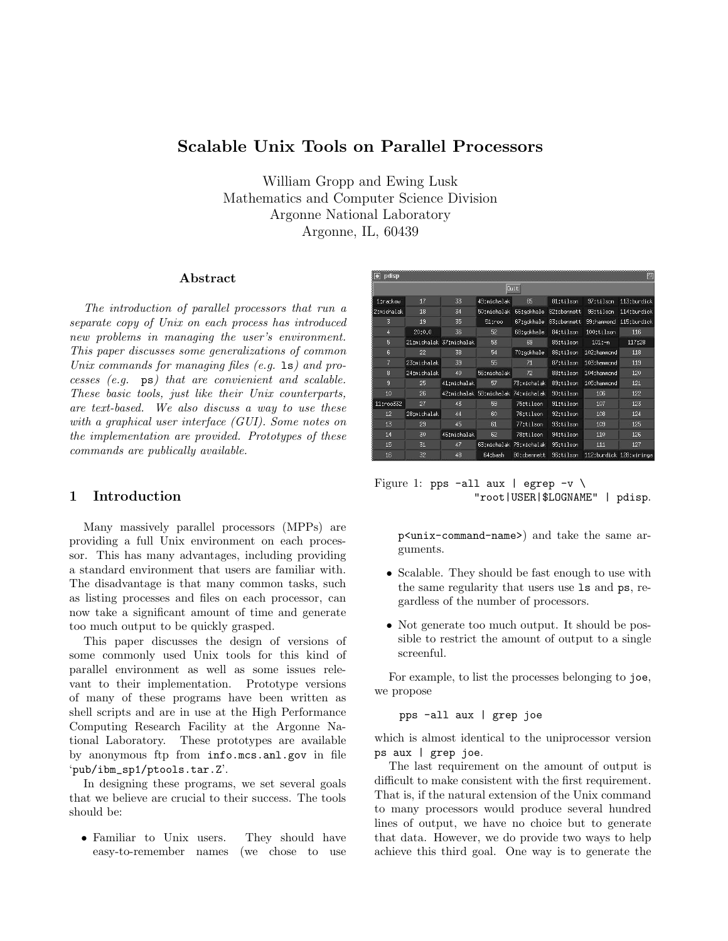# Scalable Unix Tools on Parallel Processors

William Gropp and Ewing Lusk Mathematics and Computer Science Division Argonne National Laboratory Argonne, IL, 60439

#### Abstract

The introduction of parallel processors that run a separate copy of Unix on each process has introduced new problems in managing the user's environment. This paper discusses some generalizations of common Unix commands for managing files  $(e.g. 1s)$  and processes  $(e.g.$   $\n p s)$  that are convienient and scalable. These basic tools, just like their Unix counterparts, are text-based. We also discuss a way to use these with a graphical user interface (GUI). Some notes on the implementation are provided. Prototypes of these commands are publically available.

# 1 Introduction

Many massively parallel processors (MPPs) are providing a full Unix environment on each processor. This has many advantages, including providing a standard environment that users are familiar with. The disadvantage is that many common tasks, such as listing processes and files on each processor, can now take a significant amount of time and generate too much output to be quickly grasped.

This paper discusses the design of versions of some commonly used Unix tools for this kind of parallel environment as well as some issues relevant to their implementation. Prototype versions of many of these programs have been written as shell scripts and are in use at the High Performance Computing Research Facility at the Argonne National Laboratory. These prototypes are available by anonymous ftp from info.mcs.anl.gov in file 'pub/ibm\_sp1/ptools.tar.Z'.

In designing these programs, we set several goals that we believe are crucial to their success. The tools should be:

• Familiar to Unix users. They should have easy-to-remember names (we chose to use

| pdisp           |             |                         |                                     |                         |             |             |                         |  |
|-----------------|-------------|-------------------------|-------------------------------------|-------------------------|-------------|-------------|-------------------------|--|
| Muit            |             |                         |                                     |                         |             |             |                         |  |
| 1:rackow        | 17          | 33                      | 49:michalak                         | 65                      | 81:tilson   | 97:tilson   | 113:burdick             |  |
| 2:michalak      | 18          | 34                      | 50tmichalak                         | 66:gokhale              | 82:cbennett | 98:tilson   | 114:burdick             |  |
| 3               | 19          | 35                      | 51troo                              | 67:gokhale              | 83tobennett | 99thammond  | 115; burdick            |  |
| 4               | 20:0.0      | 36                      | 52                                  | 68:gokhale              | 84:tilson   | 100:tilson  | 116                     |  |
| 5               |             | 21:michalak 37:michalak | 53                                  | 69                      | 85:tilson   | $101: -n$   | 117:28                  |  |
| 6               | 22          | 38                      | 54                                  | 70:gokhale              | 86:tilson   | 102:hammond | 118                     |  |
| 7               | 23:michalak | 39                      | 55                                  | 71                      | 87:tilson   | 103:hammond | 119                     |  |
| 8               | 24:michalak | 40                      | 56tmichalak                         | 72                      | 88:tilson   | 104:hammond | 120                     |  |
| 9               | 25          | 41 tmichalak            | 57                                  | 73tmichalak             | 89:tilson   | 105:hammond | 121                     |  |
| 10              | 26          |                         | 42:michalak 58:michalak 74:michalak |                         | 90:tilson   | 106         | 122                     |  |
| 11troo332       | 27          | 43                      | 59                                  | 75:tilson               | 91:tilson   | 107         | 123                     |  |
| 12 <sup>2</sup> | 28:michalak | 44                      | 60                                  | 76:tilson               | 92:tilson   | 108         | 124                     |  |
| 13              | 29          | 45                      | 61                                  | 77:tilson               | 93:tilson   | 109         | 125                     |  |
| 14              | 30          | 46:michalak             | 62                                  | 78:tilson               | 94:tilson   | 110         | 126                     |  |
| 15              | 31          | 47                      |                                     | 63:michalak 79:michalak | 95:tilson   | 111         | 127                     |  |
| 16              | 32          | 48                      | 64:bash                             | 80:cbennett             | 96:tilson   |             | 112:burdick 128:wiringa |  |

Figure 1: pps -all aux | egrep  $-v \backslash$ "root|USER|\$LOGNAME" | pdisp.

p<unix-command-name>) and take the same arguments.

- Scalable. They should be fast enough to use with the same regularity that users use ls and ps, regardless of the number of processors.
- Not generate too much output. It should be possible to restrict the amount of output to a single screenful.

For example, to list the processes belonging to joe, we propose

pps -all aux | grep joe

which is almost identical to the uniprocessor version ps aux | grep joe.

The last requirement on the amount of output is difficult to make consistent with the first requirement. That is, if the natural extension of the Unix command to many processors would produce several hundred lines of output, we have no choice but to generate that data. However, we do provide two ways to help achieve this third goal. One way is to generate the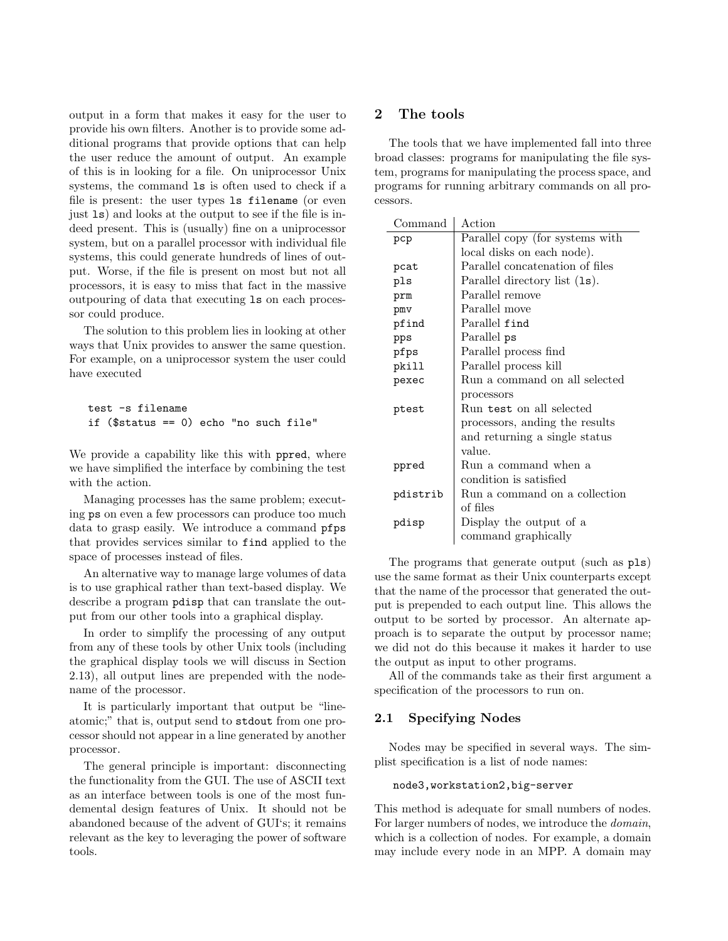output in a form that makes it easy for the user to provide his own filters. Another is to provide some additional programs that provide options that can help the user reduce the amount of output. An example of this is in looking for a file. On uniprocessor Unix systems, the command ls is often used to check if a file is present: the user types ls filename (or even just ls) and looks at the output to see if the file is indeed present. This is (usually) fine on a uniprocessor system, but on a parallel processor with individual file systems, this could generate hundreds of lines of output. Worse, if the file is present on most but not all processors, it is easy to miss that fact in the massive outpouring of data that executing ls on each processor could produce.

The solution to this problem lies in looking at other ways that Unix provides to answer the same question. For example, on a uniprocessor system the user could have executed

test -s filename if (\$status == 0) echo "no such file"

We provide a capability like this with ppred, where we have simplified the interface by combining the test with the action.

Managing processes has the same problem; executing ps on even a few processors can produce too much data to grasp easily. We introduce a command pfps that provides services similar to find applied to the space of processes instead of files.

An alternative way to manage large volumes of data is to use graphical rather than text-based display. We describe a program pdisp that can translate the output from our other tools into a graphical display.

In order to simplify the processing of any output from any of these tools by other Unix tools (including the graphical display tools we will discuss in Section 2.13), all output lines are prepended with the nodename of the processor.

It is particularly important that output be "lineatomic;" that is, output send to stdout from one processor should not appear in a line generated by another processor.

The general principle is important: disconnecting the functionality from the GUI. The use of ASCII text as an interface between tools is one of the most fundemental design features of Unix. It should not be abandoned because of the advent of GUI's; it remains relevant as the key to leveraging the power of software tools.

# 2 The tools

The tools that we have implemented fall into three broad classes: programs for manipulating the file system, programs for manipulating the process space, and programs for running arbitrary commands on all processors.

| Command  | Action                          |
|----------|---------------------------------|
| pcp      | Parallel copy (for systems with |
|          | local disks on each node).      |
| pcat     | Parallel concatenation of files |
| pls      | Parallel directory list (1s).   |
| prm      | Parallel remove                 |
| pmv      | Parallel move                   |
| pfind    | Parallel find                   |
| pps      | Parallel ps                     |
| pfps     | Parallel process find           |
| pkill    | Parallel process kill           |
| pexec    | Run a command on all selected   |
|          | processors                      |
| ptest    | Run test on all selected        |
|          | processors, anding the results  |
|          | and returning a single status   |
|          | value.                          |
| ppred    | Run a command when a            |
|          | condition is satisfied          |
| pdistrib | Run a command on a collection   |
|          | of files                        |
| pdisp    | Display the output of a         |
|          | command graphically             |

The programs that generate output (such as pls) use the same format as their Unix counterparts except that the name of the processor that generated the output is prepended to each output line. This allows the output to be sorted by processor. An alternate approach is to separate the output by processor name; we did not do this because it makes it harder to use the output as input to other programs.

All of the commands take as their first argument a specification of the processors to run on.

## 2.1 Specifying Nodes

Nodes may be specified in several ways. The simplist specification is a list of node names:

#### node3,workstation2,big-server

This method is adequate for small numbers of nodes. For larger numbers of nodes, we introduce the domain, which is a collection of nodes. For example, a domain may include every node in an MPP. A domain may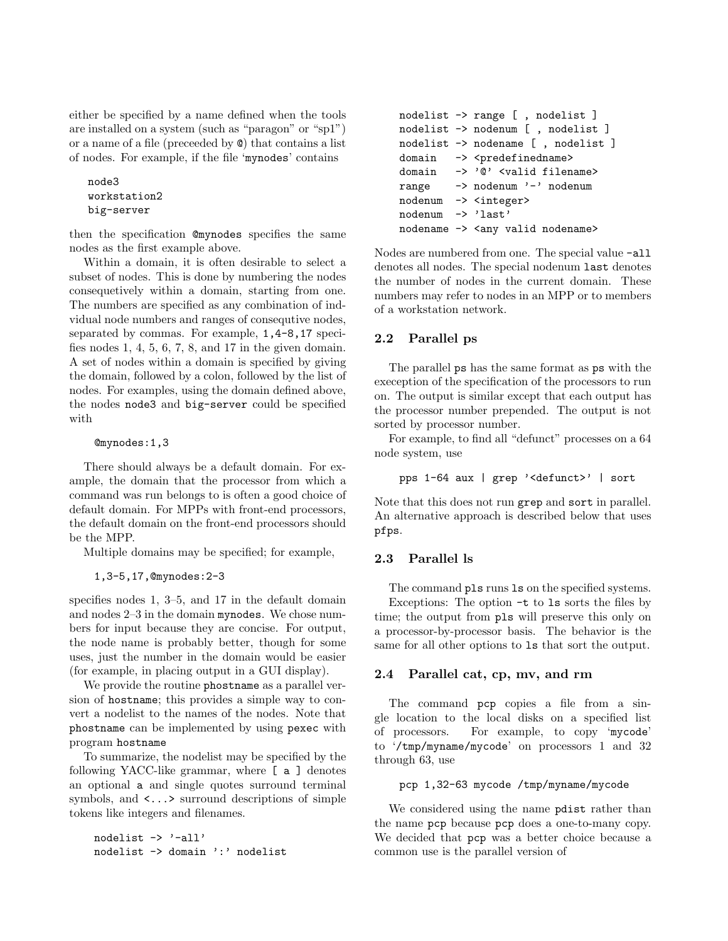either be specified by a name defined when the tools are installed on a system (such as "paragon" or "sp1") or a name of a file (preceeded by @) that contains a list of nodes. For example, if the file 'mynodes' contains

```
node3
workstation2
big-server
```
then the specification @mynodes specifies the same nodes as the first example above.

Within a domain, it is often desirable to select a subset of nodes. This is done by numbering the nodes consequetively within a domain, starting from one. The numbers are specified as any combination of indvidual node numbers and ranges of consequtive nodes, separated by commas. For example, 1,4-8,17 specifies nodes 1, 4, 5, 6, 7, 8, and 17 in the given domain. A set of nodes within a domain is specified by giving the domain, followed by a colon, followed by the list of nodes. For examples, using the domain defined above, the nodes node3 and big-server could be specified with

@mynodes:1,3

There should always be a default domain. For example, the domain that the processor from which a command was run belongs to is often a good choice of default domain. For MPPs with front-end processors, the default domain on the front-end processors should be the MPP.

Multiple domains may be specified; for example,

1,3-5,17,@mynodes:2-3

specifies nodes 1, 3–5, and 17 in the default domain and nodes 2–3 in the domain mynodes. We chose numbers for input because they are concise. For output, the node name is probably better, though for some uses, just the number in the domain would be easier (for example, in placing output in a GUI display).

We provide the routine phostname as a parallel version of hostname; this provides a simple way to convert a nodelist to the names of the nodes. Note that phostname can be implemented by using pexec with program hostname

To summarize, the nodelist may be specified by the following YACC-like grammar, where [ a ] denotes an optional a and single quotes surround terminal symbols, and <...> surround descriptions of simple tokens like integers and filenames.

```
nodelist -> '-all'
nodelist -> domain ':' nodelist
```

```
nodelist -> range [ , nodelist ]
nodelist -> nodenum [ , nodelist ]
nodelist -> nodename [ , nodelist ]
domain -> <predefinedname>
domain -> '@' <valid filename>
range -> nodenum '-' nodenum
nodenum -> <integer>
nodenum -> 'last'
nodename -> <any valid nodename>
```
Nodes are numbered from one. The special value -all denotes all nodes. The special nodenum last denotes the number of nodes in the current domain. These numbers may refer to nodes in an MPP or to members of a workstation network.

# 2.2 Parallel ps

The parallel ps has the same format as ps with the exeception of the specification of the processors to run on. The output is similar except that each output has the processor number prepended. The output is not sorted by processor number.

For example, to find all "defunct" processes on a 64 node system, use

```
pps 1-64 aux | grep '<defunct>' | sort
```
Note that this does not run grep and sort in parallel. An alternative approach is described below that uses pfps.

# 2.3 Parallel ls

The command pls runs ls on the specified systems. Exceptions: The option -t to ls sorts the files by time; the output from pls will preserve this only on a processor-by-processor basis. The behavior is the same for all other options to ls that sort the output.

## 2.4 Parallel cat, cp, mv, and rm

The command pcp copies a file from a single location to the local disks on a specified list of processors. For example, to copy 'mycode' to '/tmp/myname/mycode' on processors 1 and 32 through 63, use

## pcp 1,32-63 mycode /tmp/myname/mycode

We considered using the name pdist rather than the name pcp because pcp does a one-to-many copy. We decided that pcp was a better choice because a common use is the parallel version of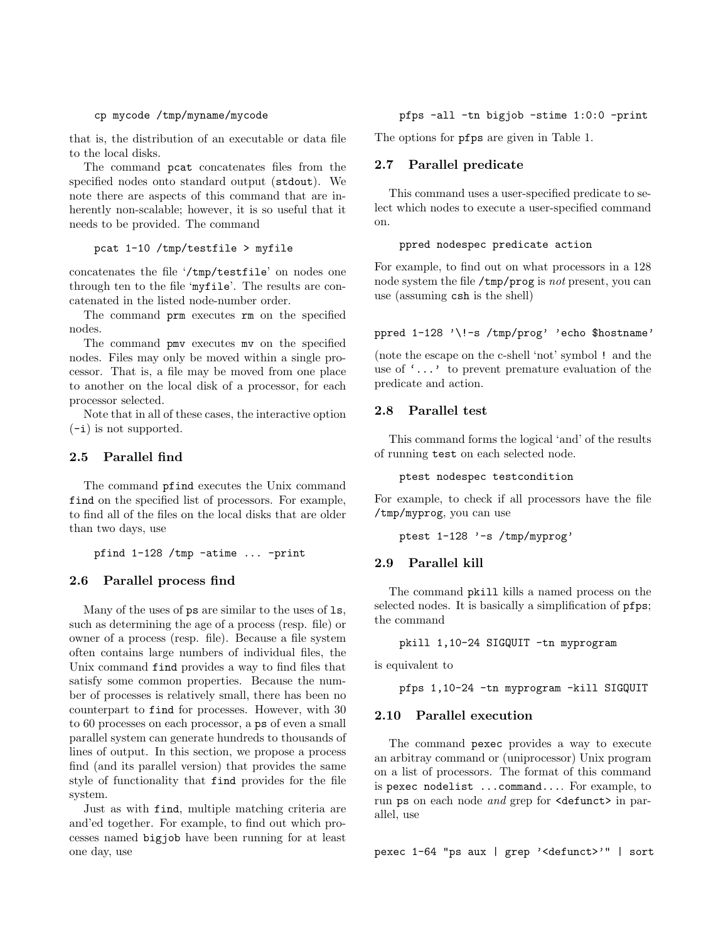#### cp mycode /tmp/myname/mycode

that is, the distribution of an executable or data file to the local disks.

The command pcat concatenates files from the specified nodes onto standard output (stdout). We note there are aspects of this command that are inherently non-scalable; however, it is so useful that it needs to be provided. The command

### pcat 1-10 /tmp/testfile > myfile

concatenates the file '/tmp/testfile' on nodes one through ten to the file 'myfile'. The results are concatenated in the listed node-number order.

The command prm executes rm on the specified nodes.

The command pmv executes mv on the specified nodes. Files may only be moved within a single processor. That is, a file may be moved from one place to another on the local disk of a processor, for each processor selected.

Note that in all of these cases, the interactive option (-i) is not supported.

## 2.5 Parallel find

The command pfind executes the Unix command find on the specified list of processors. For example, to find all of the files on the local disks that are older than two days, use

pfind 1-128 /tmp -atime ... -print

## 2.6 Parallel process find

Many of the uses of ps are similar to the uses of ls, such as determining the age of a process (resp. file) or owner of a process (resp. file). Because a file system often contains large numbers of individual files, the Unix command find provides a way to find files that satisfy some common properties. Because the number of processes is relatively small, there has been no counterpart to find for processes. However, with 30 to 60 processes on each processor, a ps of even a small parallel system can generate hundreds to thousands of lines of output. In this section, we propose a process find (and its parallel version) that provides the same style of functionality that find provides for the file system.

Just as with find, multiple matching criteria are and'ed together. For example, to find out which processes named bigjob have been running for at least one day, use

pfps -all -tn bigjob -stime 1:0:0 -print

The options for pfps are given in Table 1.

#### 2.7 Parallel predicate

This command uses a user-specified predicate to select which nodes to execute a user-specified command on.

### ppred nodespec predicate action

For example, to find out on what processors in a 128 node system the file /tmp/prog is not present, you can use (assuming csh is the shell)

#### ppred 1-128 '\!-s /tmp/prog' 'echo \$hostname'

(note the escape on the c-shell 'not' symbol ! and the use of '...' to prevent premature evaluation of the predicate and action.

## 2.8 Parallel test

This command forms the logical 'and' of the results of running test on each selected node.

ptest nodespec testcondition

For example, to check if all processors have the file /tmp/myprog, you can use

ptest 1-128 '-s /tmp/myprog'

#### 2.9 Parallel kill

The command pkill kills a named process on the selected nodes. It is basically a simplification of pfps; the command

```
pkill 1,10-24 SIGQUIT -tn myprogram
```
is equivalent to

```
pfps 1,10-24 -tn myprogram -kill SIGQUIT
```
## 2.10 Parallel execution

The command pexec provides a way to execute an arbitray command or (uniprocessor) Unix program on a list of processors. The format of this command is pexec nodelist ...command.... For example, to run ps on each node and grep for <defunct> in parallel, use

pexec 1-64 "ps aux | grep '<defunct>'" | sort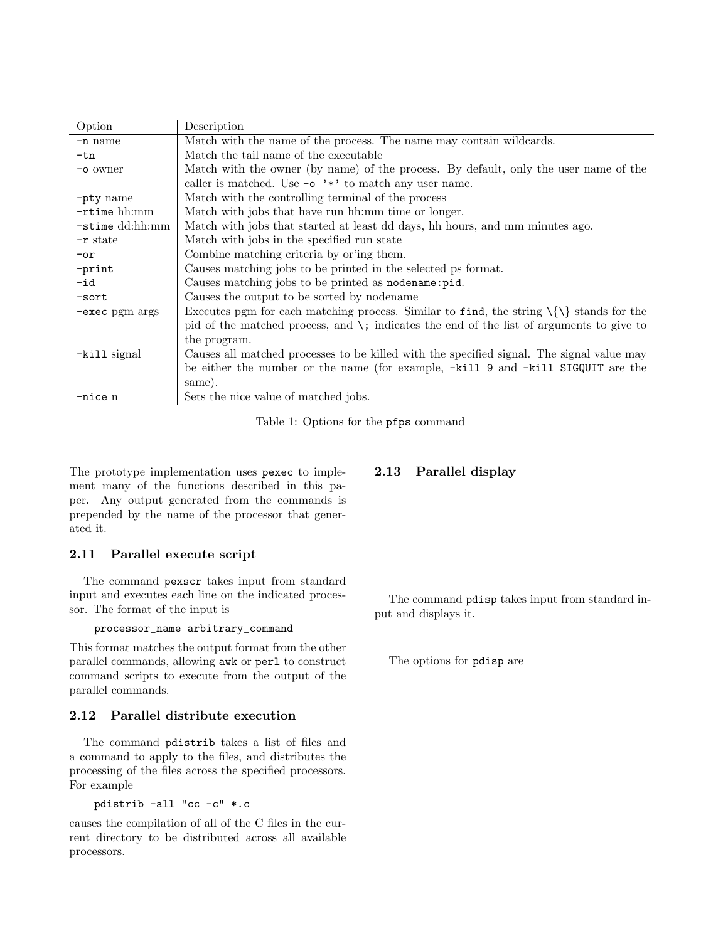| Description                                                                                     |  |  |  |
|-------------------------------------------------------------------------------------------------|--|--|--|
| Match with the name of the process. The name may contain wildcards.                             |  |  |  |
| Match the tail name of the executable                                                           |  |  |  |
| Match with the owner (by name) of the process. By default, only the user name of the            |  |  |  |
| caller is matched. Use $\sim$ $\rightarrow \cdot \cdot$ to match any user name.                 |  |  |  |
| Match with the controlling terminal of the process                                              |  |  |  |
| Match with jobs that have run hh:mm time or longer.                                             |  |  |  |
| -stime dd:hh:mm<br>Match with jobs that started at least dd days, hh hours, and mm minutes ago. |  |  |  |
| Match with jobs in the specified run state                                                      |  |  |  |
| Combine matching criteria by or ing them.                                                       |  |  |  |
| Causes matching jobs to be printed in the selected ps format.                                   |  |  |  |
| Causes matching jobs to be printed as nodename: pid.                                            |  |  |  |
| Causes the output to be sorted by nodename                                                      |  |  |  |
| Executes pgm for each matching process. Similar to find, the string $\{\{\}\$ stands for the    |  |  |  |
| pid of the matched process, and $\zeta$ ; indicates the end of the list of arguments to give to |  |  |  |
| the program.                                                                                    |  |  |  |
| Causes all matched processes to be killed with the specified signal. The signal value may       |  |  |  |
| be either the number or the name (for example, $-ki11$ 9 and $-ki11$ SIGQUIT are the            |  |  |  |
| same).                                                                                          |  |  |  |
| Sets the nice value of matched jobs.                                                            |  |  |  |
|                                                                                                 |  |  |  |

Table 1: Options for the pfps command

The prototype implementation uses pexec to implement many of the functions described in this paper. Any output generated from the commands is prepended by the name of the processor that generated it.

## 2.11 Parallel execute script

The command pexscr takes input from standard input and executes each line on the indicated processor. The format of the input is

## processor\_name arbitrary\_command

This format matches the output format from the other parallel commands, allowing awk or perl to construct command scripts to execute from the output of the parallel commands.

## 2.12 Parallel distribute execution

The command pdistrib takes a list of files and a command to apply to the files, and distributes the processing of the files across the specified processors. For example

pdistrib -all "cc -c" \*.c

causes the compilation of all of the C files in the current directory to be distributed across all available processors.

The command pdisp takes input from standard in-

The options for pdisp are

put and displays it.

2.13 Parallel display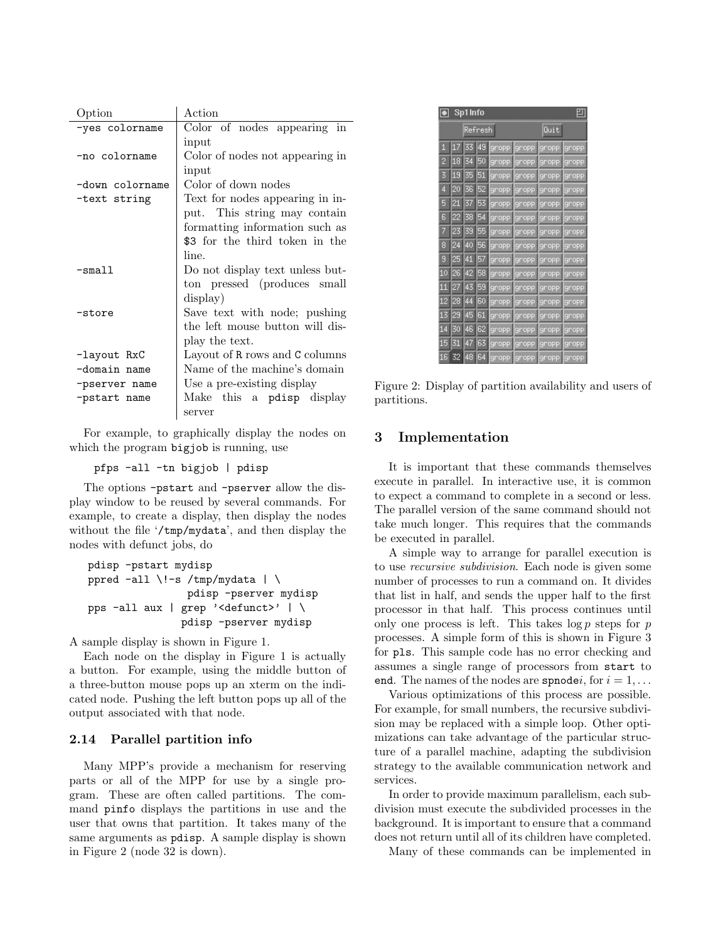| Option          | Action                          |  |  |  |
|-----------------|---------------------------------|--|--|--|
| -yes colorname  | Color of nodes appearing in     |  |  |  |
|                 | input                           |  |  |  |
| -no colorname   | Color of nodes not appearing in |  |  |  |
|                 | input                           |  |  |  |
| -down colorname | Color of down nodes             |  |  |  |
| -text string    | Text for nodes appearing in in- |  |  |  |
|                 | put. This string may contain    |  |  |  |
|                 | formatting information such as  |  |  |  |
|                 | \$3 for the third token in the  |  |  |  |
|                 | line.                           |  |  |  |
| -small          | Do not display text unless but- |  |  |  |
|                 | ton pressed (produces small     |  |  |  |
|                 | display)                        |  |  |  |
| -store          | Save text with node; pushing    |  |  |  |
|                 | the left mouse button will dis- |  |  |  |
|                 | play the text.                  |  |  |  |
| -layout RxC     | Layout of R rows and C columns  |  |  |  |
| -domain name    | Name of the machine's domain    |  |  |  |
| -pserver name   | Use a pre-existing display      |  |  |  |
| -pstart name    | Make this a pdisp display       |  |  |  |
|                 | server                          |  |  |  |

For example, to graphically display the nodes on which the program bigjob is running, use

pfps -all -tn bigjob | pdisp

The options -pstart and -pserver allow the display window to be reused by several commands. For example, to create a display, then display the nodes without the file '/tmp/mydata', and then display the nodes with defunct jobs, do

```
pdisp -pstart mydisp
ppred -all \!-s /tmp/mydata | \
                pdisp -pserver mydisp
pps -all aux | grep '<defunct>' | \
               pdisp -pserver mydisp
```
A sample display is shown in Figure 1.

Each node on the display in Figure 1 is actually a button. For example, using the middle button of a three-button mouse pops up an xterm on the indicated node. Pushing the left button pops up all of the output associated with that node.

## 2.14 Parallel partition info

Many MPP's provide a mechanism for reserving parts or all of the MPP for use by a single program. These are often called partitions. The command pinfo displays the partitions in use and the user that owns that partition. It takes many of the same arguments as pdisp. A sample display is shown in Figure 2 (node 32 is down).

|    | 픱<br>Sp1 Info |    |    |              |       |        |        |  |
|----|---------------|----|----|--------------|-------|--------|--------|--|
|    | Refresh       |    |    |              |       | Quit   |        |  |
| п  | 17            | 33 | 49 | <u>aropp</u> | gropp | gropp  | gropp  |  |
| 2  | 18            | 34 | 50 | gropp        | gropp | gropp  | gropp  |  |
| 3  | 19            | 35 | 51 | gropp        | gropp | gropp  | gropp  |  |
| 4  | 20            | 36 | 52 | gropp        | gropp | gropp  | gropp  |  |
| 5  | 21            | 37 | 53 | gropp        | gropp | gropp  | gropp  |  |
| 6  | 22            | 38 | 54 | gropp        | gropp | gnopp  | gropp  |  |
| 7  | 23            | 39 | 55 | gropp        | gropp | gropp  | gropp  |  |
| 8  | 24            | 40 | 56 | gropp        | gropp | gropp  | gropp  |  |
| 9  | 25            | 41 | 57 | gropp        | gropp | gropp  | gropp  |  |
| 10 | 26            | 42 | 58 | gropp        | gropp | gropp  | gropp  |  |
| 11 | 27            | 43 | 59 | gropp        | gropp | gropp  | gropp  |  |
| 12 | 28            | 44 | 60 | gropp        | gropp | gropp  | gropp  |  |
| 13 | 29            | 45 | 61 | gropp        | gropp | Ignopp | ignopp |  |
| 14 | 30            | 46 | 62 | gropp        | gropp | gropp  | gropp  |  |
| 15 | 31            | 47 | 63 | gropp        | gropp | jgnopp | gropp  |  |
| 16 | 32            | 48 | ĥ4 | gropp        | gropp | gropp  | gropp  |  |

Figure 2: Display of partition availability and users of partitions.

# 3 Implementation

It is important that these commands themselves execute in parallel. In interactive use, it is common to expect a command to complete in a second or less. The parallel version of the same command should not take much longer. This requires that the commands be executed in parallel.

A simple way to arrange for parallel execution is to use recursive subdivision. Each node is given some number of processes to run a command on. It divides that list in half, and sends the upper half to the first processor in that half. This process continues until only one process is left. This takes  $\log p$  steps for p processes. A simple form of this is shown in Figure 3 for pls. This sample code has no error checking and assumes a single range of processors from start to end. The names of the nodes are spnode*i*, for  $i = 1, \ldots$ 

Various optimizations of this process are possible. For example, for small numbers, the recursive subdivision may be replaced with a simple loop. Other optimizations can take advantage of the particular structure of a parallel machine, adapting the subdivision strategy to the available communication network and services.

In order to provide maximum parallelism, each subdivision must execute the subdivided processes in the background. It is important to ensure that a command does not return until all of its children have completed.

Many of these commands can be implemented in